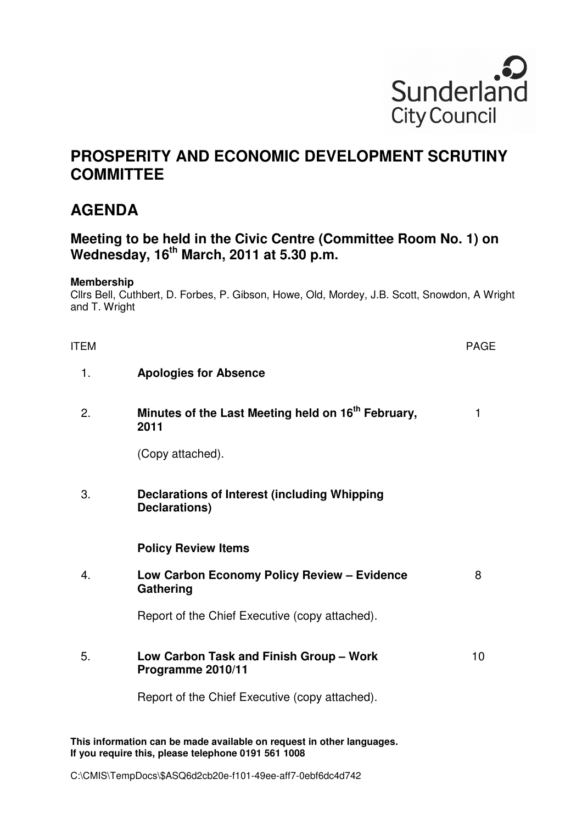

# **PROSPERITY AND ECONOMIC DEVELOPMENT SCRUTINY COMMITTEE**

## **AGENDA**

## **Meeting to be held in the Civic Centre (Committee Room No. 1) on Wednesday, 16th March, 2011 at 5.30 p.m.**

#### **Membership**

Cllrs Bell, Cuthbert, D. Forbes, P. Gibson, Howe, Old, Mordey, J.B. Scott, Snowdon, A Wright and T. Wright

| <b>ITEM</b> |                                                                        | <b>PAGE</b> |
|-------------|------------------------------------------------------------------------|-------------|
| 1.          | <b>Apologies for Absence</b>                                           |             |
| 2.          | Minutes of the Last Meeting held on 16 <sup>th</sup> February,<br>2011 | 1           |
|             | (Copy attached).                                                       |             |
| 3.          | <b>Declarations of Interest (including Whipping</b><br>Declarations)   |             |
|             | <b>Policy Review Items</b>                                             |             |
| 4.          | Low Carbon Economy Policy Review - Evidence<br>Gathering               | 8           |
|             | Report of the Chief Executive (copy attached).                         |             |
| 5.          | Low Carbon Task and Finish Group - Work<br>Programme 2010/11           | 10          |
|             | Report of the Chief Executive (copy attached).                         |             |

**This information can be made available on request in other languages. If you require this, please telephone 0191 561 1008**